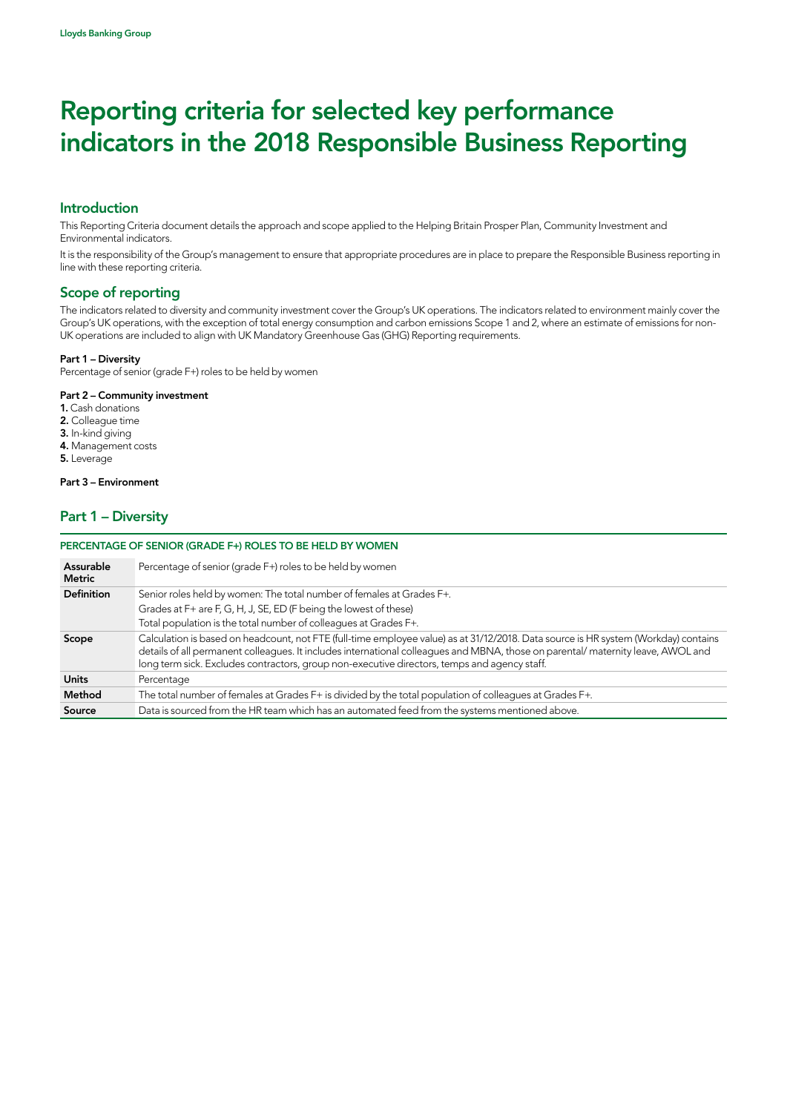# Introduction

This Reporting Criteria document details the approach and scope applied to the Helping Britain Prosper Plan, Community Investment and Environmental indicators.

It is the responsibility of the Group's management to ensure that appropriate procedures are in place to prepare the Responsible Business reporting in line with these reporting criteria.

# Scope of reporting

The indicators related to diversity and community investment cover the Group's UK operations. The indicators related to environment mainly cover the Group's UK operations, with the exception of total energy consumption and carbon emissions Scope 1 and 2, where an estimate of emissions for non-UK operations are included to align with UK Mandatory Greenhouse Gas (GHG) Reporting requirements.

#### Part 1 – Diversity

Percentage of senior (grade F+) roles to be held by women

#### Part 2 – Community investment

- 1. Cash donations
- 2. Colleague time
- 3. In-kind giving
- 4. Management costs
- 5. Leverage

#### Part 3 – Environment

# Part 1 – Diversity

#### PERCENTAGE OF SENIOR (GRADE F+) ROLES TO BE HELD BY WOMEN

| Assurable<br>Metric | Percentage of senior (grade F+) roles to be held by women                                                                                                                                                                                                                                                                                                              |
|---------------------|------------------------------------------------------------------------------------------------------------------------------------------------------------------------------------------------------------------------------------------------------------------------------------------------------------------------------------------------------------------------|
| <b>Definition</b>   | Senior roles held by women: The total number of females at Grades F+.                                                                                                                                                                                                                                                                                                  |
|                     | Grades at F+ are F, G, H, J, SE, ED (F being the lowest of these)                                                                                                                                                                                                                                                                                                      |
|                     | Total population is the total number of colleagues at Grades F+.                                                                                                                                                                                                                                                                                                       |
| Scope               | Calculation is based on headcount, not FTE (full-time employee value) as at 31/12/2018. Data source is HR system (Workday) contains<br>details of all permanent colleagues. It includes international colleagues and MBNA, those on parental/maternity leave, AWOL and<br>long term sick. Excludes contractors, group non-executive directors, temps and agency staff. |
| <b>Units</b>        | Percentage                                                                                                                                                                                                                                                                                                                                                             |
| Method              | The total number of females at Grades F+ is divided by the total population of colleagues at Grades F+.                                                                                                                                                                                                                                                                |
| Source              | Data is sourced from the HR team which has an automated feed from the systems mentioned above.                                                                                                                                                                                                                                                                         |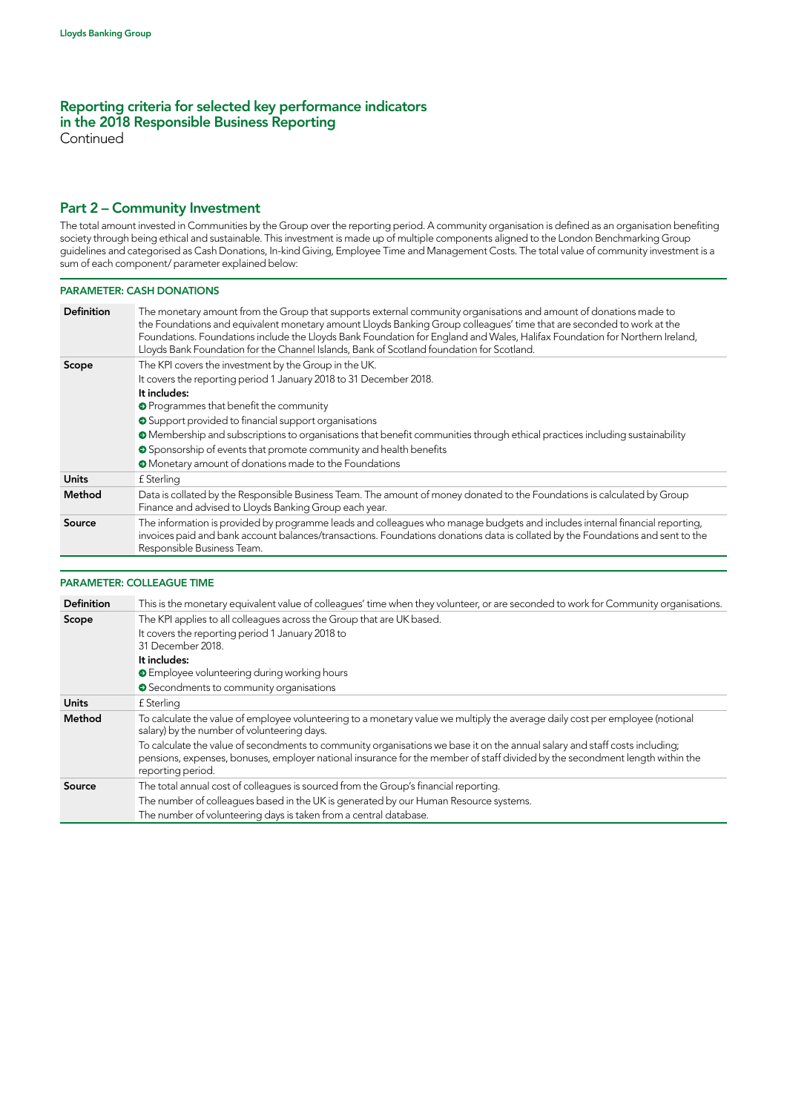**Continued** 

## Part 2 – Community Investment

The total amount invested in Communities by the Group over the reporting period. A community organisation is defined as an organisation benefiting society through being ethical and sustainable. This investment is made up of multiple components aligned to the London Benchmarking Group guidelines and categorised as Cash Donations, In-kind Giving, Employee Time and Management Costs. The total value of community investment is a sum of each component/ parameter explained below:

#### PARAMETER: CASH DONATIONS

| <b>Definition</b> | The monetary amount from the Group that supports external community organisations and amount of donations made to<br>the Foundations and equivalent monetary amount Lloyds Banking Group colleagues' time that are seconded to work at the<br>Foundations. Foundations include the Lloyds Bank Foundation for England and Wales, Halifax Foundation for Northern Ireland,<br>Lloyds Bank Foundation for the Channel Islands, Bank of Scotland foundation for Scotland. |
|-------------------|------------------------------------------------------------------------------------------------------------------------------------------------------------------------------------------------------------------------------------------------------------------------------------------------------------------------------------------------------------------------------------------------------------------------------------------------------------------------|
| Scope             | The KPI covers the investment by the Group in the UK.                                                                                                                                                                                                                                                                                                                                                                                                                  |
|                   | It covers the reporting period 1 January 2018 to 31 December 2018.                                                                                                                                                                                                                                                                                                                                                                                                     |
|                   | It includes:                                                                                                                                                                                                                                                                                                                                                                                                                                                           |
|                   | <b>O</b> Programmes that benefit the community                                                                                                                                                                                                                                                                                                                                                                                                                         |
|                   | Support provided to financial support organisations                                                                                                                                                                                                                                                                                                                                                                                                                    |
|                   | • Membership and subscriptions to organisations that benefit communities through ethical practices including sustainability                                                                                                                                                                                                                                                                                                                                            |
|                   | Sponsorship of events that promote community and health benefits                                                                                                                                                                                                                                                                                                                                                                                                       |
|                   | <b>O</b> Monetary amount of donations made to the Foundations                                                                                                                                                                                                                                                                                                                                                                                                          |
| Units             | £ Sterling                                                                                                                                                                                                                                                                                                                                                                                                                                                             |
| Method            | Data is collated by the Responsible Business Team. The amount of money donated to the Foundations is calculated by Group<br>Finance and advised to Lloyds Banking Group each year.                                                                                                                                                                                                                                                                                     |
| Source            | The information is provided by programme leads and colleagues who manage budgets and includes internal financial reporting,<br>invoices paid and bank account balances/transactions. Foundations donations data is collated by the Foundations and sent to the<br>Responsible Business Team.                                                                                                                                                                           |

#### PARAMETER: COLLEAGUE TIME

| <b>Definition</b> | This is the monetary equivalent value of colleagues' time when they volunteer, or are seconded to work for Community organisations.                                                                                                                                              |
|-------------------|----------------------------------------------------------------------------------------------------------------------------------------------------------------------------------------------------------------------------------------------------------------------------------|
| Scope             | The KPI applies to all colleagues across the Group that are UK based.                                                                                                                                                                                                            |
|                   | It covers the reporting period 1 January 2018 to<br>31 December 2018.                                                                                                                                                                                                            |
|                   | It includes:                                                                                                                                                                                                                                                                     |
|                   | <b>E</b> mployee volunteering during working hours                                                                                                                                                                                                                               |
|                   | ● Secondments to community organisations                                                                                                                                                                                                                                         |
| <b>Units</b>      | f Sterling                                                                                                                                                                                                                                                                       |
| Method            | To calculate the value of employee volunteering to a monetary value we multiply the average daily cost per employee (notional<br>salary) by the number of volunteering days.                                                                                                     |
|                   | To calculate the value of secondments to community organisations we base it on the annual salary and staff costs including;<br>pensions, expenses, bonuses, employer national insurance for the member of staff divided by the secondment length within the<br>reporting period. |
| Source            | The total annual cost of colleagues is sourced from the Group's financial reporting.                                                                                                                                                                                             |
|                   | The number of colleagues based in the UK is generated by our Human Resource systems.                                                                                                                                                                                             |
|                   | The number of volunteering days is taken from a central database.                                                                                                                                                                                                                |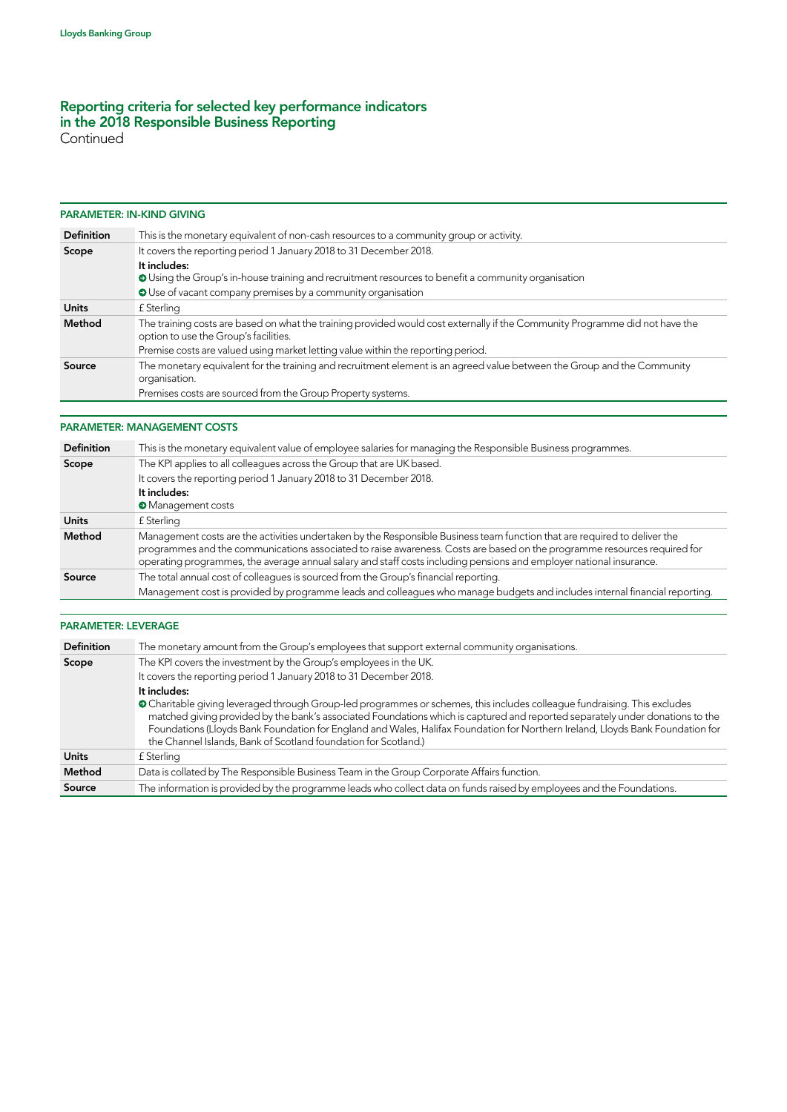**Continued** 

#### PARAMETER: IN-KIND GIVING

| <b>Definition</b> | This is the monetary equivalent of non-cash resources to a community group or activity.                                                                               |
|-------------------|-----------------------------------------------------------------------------------------------------------------------------------------------------------------------|
| Scope             | It covers the reporting period 1 January 2018 to 31 December 2018.                                                                                                    |
|                   | It includes:                                                                                                                                                          |
|                   | O Using the Group's in-house training and recruitment resources to benefit a community organisation                                                                   |
|                   | O Use of vacant company premises by a community organisation                                                                                                          |
| <b>Units</b>      | f Sterling                                                                                                                                                            |
| Method            | The training costs are based on what the training provided would cost externally if the Community Programme did not have the<br>option to use the Group's facilities. |
|                   | Premise costs are valued using market letting value within the reporting period.                                                                                      |
| Source            | The monetary equivalent for the training and recruitment element is an agreed value between the Group and the Community<br>organisation.                              |
|                   | Premises costs are sourced from the Group Property systems.                                                                                                           |

#### PARAMETER: MANAGEMENT COSTS

| <b>Definition</b> | This is the monetary equivalent value of employee salaries for managing the Responsible Business programmes.                                                                                                                                                                                                                                                                 |
|-------------------|------------------------------------------------------------------------------------------------------------------------------------------------------------------------------------------------------------------------------------------------------------------------------------------------------------------------------------------------------------------------------|
| Scope             | The KPI applies to all colleagues across the Group that are UK based.                                                                                                                                                                                                                                                                                                        |
|                   | It covers the reporting period 1 January 2018 to 31 December 2018.                                                                                                                                                                                                                                                                                                           |
|                   | It includes:                                                                                                                                                                                                                                                                                                                                                                 |
|                   | <b>Management costs</b>                                                                                                                                                                                                                                                                                                                                                      |
| <b>Units</b>      | £ Sterling                                                                                                                                                                                                                                                                                                                                                                   |
| Method            | Management costs are the activities undertaken by the Responsible Business team function that are required to deliver the<br>programmes and the communications associated to raise awareness. Costs are based on the programme resources required for<br>operating programmes, the average annual salary and staff costs including pensions and employer national insurance. |
| Source            | The total annual cost of colleagues is sourced from the Group's financial reporting.<br>Management cost is provided by programme leads and colleagues who manage budgets and includes internal financial reporting.                                                                                                                                                          |

#### PARAMETER: LEVERAGE

| <b>Definition</b> | The monetary amount from the Group's employees that support external community organisations.                                                                                                                                                                                                                                                                                                                                                                   |
|-------------------|-----------------------------------------------------------------------------------------------------------------------------------------------------------------------------------------------------------------------------------------------------------------------------------------------------------------------------------------------------------------------------------------------------------------------------------------------------------------|
| Scope             | The KPI covers the investment by the Group's employees in the UK.                                                                                                                                                                                                                                                                                                                                                                                               |
|                   | It covers the reporting period 1 January 2018 to 31 December 2018.                                                                                                                                                                                                                                                                                                                                                                                              |
|                   | It includes:                                                                                                                                                                                                                                                                                                                                                                                                                                                    |
|                   | • Charitable giving leveraged through Group-led programmes or schemes, this includes colleague fundraising. This excludes<br>matched giving provided by the bank's associated Foundations which is captured and reported separately under donations to the<br>Foundations (Lloyds Bank Foundation for England and Wales, Halifax Foundation for Northern Ireland, Lloyds Bank Foundation for<br>the Channel Islands, Bank of Scotland foundation for Scotland.) |
| <b>Units</b>      | f Sterling                                                                                                                                                                                                                                                                                                                                                                                                                                                      |
| Method            | Data is collated by The Responsible Business Team in the Group Corporate Affairs function.                                                                                                                                                                                                                                                                                                                                                                      |
| Source            | The information is provided by the programme leads who collect data on funds raised by employees and the Foundations.                                                                                                                                                                                                                                                                                                                                           |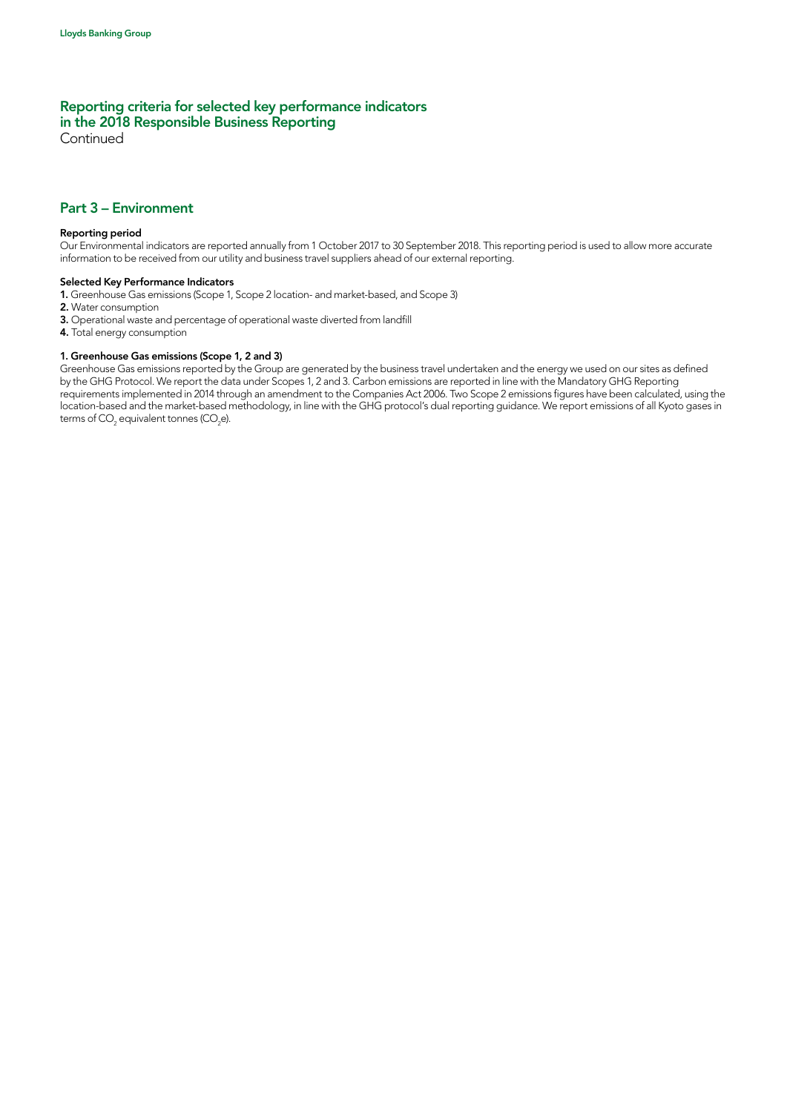Continued

## Part 3 – Environment

#### Reporting period

Our Environmental indicators are reported annually from 1 October 2017 to 30 September 2018. This reporting period is used to allow more accurate information to be received from our utility and business travel suppliers ahead of our external reporting.

#### Selected Key Performance Indicators

1. Greenhouse Gas emissions (Scope 1, Scope 2 location- and market-based, and Scope 3)

- 2. Water consumption
- 3. Operational waste and percentage of operational waste diverted from landfill
- 4. Total energy consumption

# 1. Greenhouse Gas emissions (Scope 1, 2 and 3)

Greenhouse Gas emissions reported by the Group are generated by the business travel undertaken and the energy we used on our sites as defined by the GHG Protocol. We report the data under Scopes 1, 2 and 3. Carbon emissions are reported in line with the Mandatory GHG Reporting requirements implemented in 2014 through an amendment to the Companies Act 2006. Two Scope 2 emissions figures have been calculated, using the location-based and the market-based methodology, in line with the GHG protocol's dual reporting guidance. We report emissions of all Kyoto gases in terms of CO $_{_2}$  equivalent tonnes (CO $_{_2}$ e).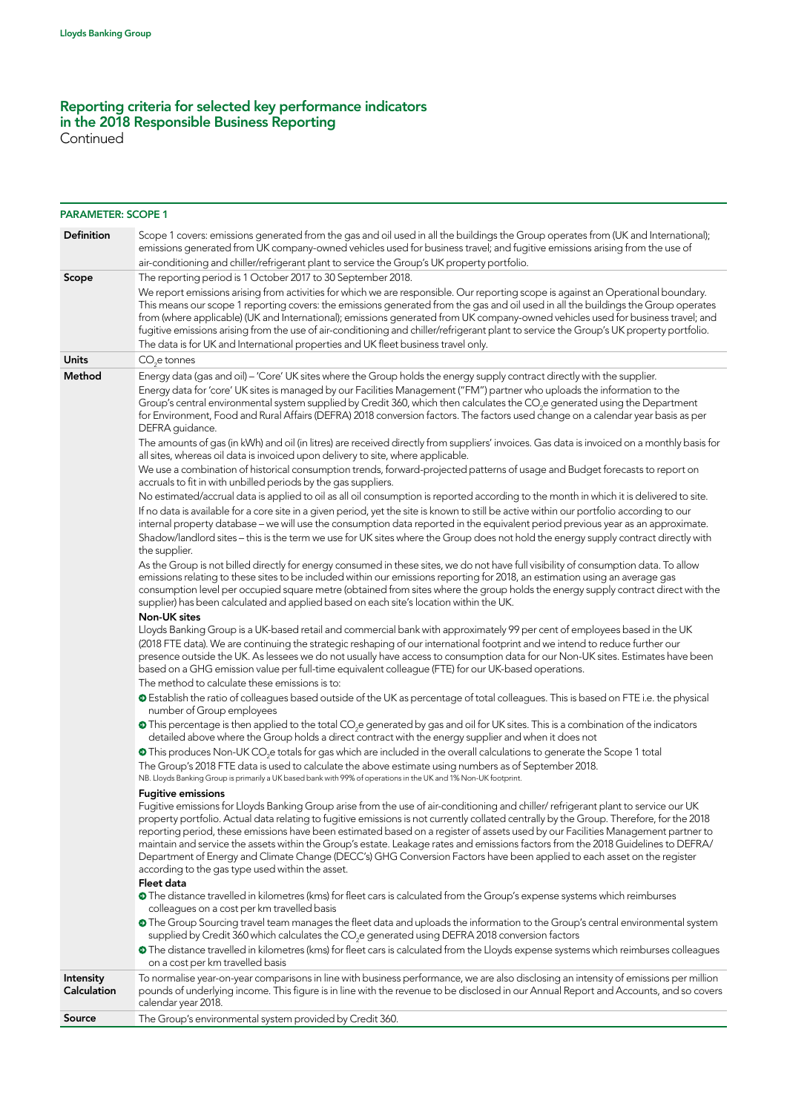Continued

| <b>PARAMETER: SCOPE 1</b> |                                                                                                                                                                                                                                                                                                                                                                                                                                                                                                                                                                                                                                                                                                                                                                                    |
|---------------------------|------------------------------------------------------------------------------------------------------------------------------------------------------------------------------------------------------------------------------------------------------------------------------------------------------------------------------------------------------------------------------------------------------------------------------------------------------------------------------------------------------------------------------------------------------------------------------------------------------------------------------------------------------------------------------------------------------------------------------------------------------------------------------------|
| <b>Definition</b>         | Scope 1 covers: emissions generated from the gas and oil used in all the buildings the Group operates from (UK and International);<br>emissions generated from UK company-owned vehicles used for business travel; and fugitive emissions arising from the use of<br>air-conditioning and chiller/refrigerant plant to service the Group's UK property portfolio.                                                                                                                                                                                                                                                                                                                                                                                                                  |
| Scope                     | The reporting period is 1 October 2017 to 30 September 2018.                                                                                                                                                                                                                                                                                                                                                                                                                                                                                                                                                                                                                                                                                                                       |
|                           | We report emissions arising from activities for which we are responsible. Our reporting scope is against an Operational boundary.<br>This means our scope 1 reporting covers: the emissions generated from the gas and oil used in all the buildings the Group operates<br>from (where applicable) (UK and International); emissions generated from UK company-owned vehicles used for business travel; and<br>fugitive emissions arising from the use of air-conditioning and chiller/refrigerant plant to service the Group's UK property portfolio.<br>The data is for UK and International properties and UK fleet business travel only.                                                                                                                                       |
| <b>Units</b>              | CO <sub>se</sub> tonnes                                                                                                                                                                                                                                                                                                                                                                                                                                                                                                                                                                                                                                                                                                                                                            |
| Method                    | Energy data (gas and oil) - 'Core' UK sites where the Group holds the energy supply contract directly with the supplier.                                                                                                                                                                                                                                                                                                                                                                                                                                                                                                                                                                                                                                                           |
|                           | Energy data for 'core' UK sites is managed by our Facilities Management ("FM") partner who uploads the information to the<br>Group's central environmental system supplied by Credit 360, which then calculates the CO <sub>2</sub> e generated using the Department<br>for Environment, Food and Rural Affairs (DEFRA) 2018 conversion factors. The factors used change on a calendar year basis as per<br>DEFRA guidance.                                                                                                                                                                                                                                                                                                                                                        |
|                           | The amounts of gas (in kWh) and oil (in litres) are received directly from suppliers' invoices. Gas data is invoiced on a monthly basis for<br>all sites, whereas oil data is invoiced upon delivery to site, where applicable.                                                                                                                                                                                                                                                                                                                                                                                                                                                                                                                                                    |
|                           | We use a combination of historical consumption trends, forward-projected patterns of usage and Budget forecasts to report on<br>accruals to fit in with unbilled periods by the gas suppliers.                                                                                                                                                                                                                                                                                                                                                                                                                                                                                                                                                                                     |
|                           | No estimated/accrual data is applied to oil as all oil consumption is reported according to the month in which it is delivered to site.<br>If no data is available for a core site in a given period, yet the site is known to still be active within our portfolio according to our<br>internal property database - we will use the consumption data reported in the equivalent period previous year as an approximate.<br>Shadow/landlord sites - this is the term we use for UK sites where the Group does not hold the energy supply contract directly with<br>the supplier.                                                                                                                                                                                                   |
|                           | As the Group is not billed directly for energy consumed in these sites, we do not have full visibility of consumption data. To allow<br>emissions relating to these sites to be included within our emissions reporting for 2018, an estimation using an average gas<br>consumption level per occupied square metre (obtained from sites where the group holds the energy supply contract direct with the<br>supplier) has been calculated and applied based on each site's location within the UK.                                                                                                                                                                                                                                                                                |
|                           | <b>Non-UK sites</b>                                                                                                                                                                                                                                                                                                                                                                                                                                                                                                                                                                                                                                                                                                                                                                |
|                           | Lloyds Banking Group is a UK-based retail and commercial bank with approximately 99 per cent of employees based in the UK<br>(2018 FTE data). We are continuing the strategic reshaping of our international footprint and we intend to reduce further our<br>presence outside the UK. As lessees we do not usually have access to consumption data for our Non-UK sites. Estimates have been<br>based on a GHG emission value per full-time equivalent colleague (FTE) for our UK-based operations.                                                                                                                                                                                                                                                                               |
|                           | The method to calculate these emissions is to:                                                                                                                                                                                                                                                                                                                                                                                                                                                                                                                                                                                                                                                                                                                                     |
|                           | <b>O</b> Establish the ratio of colleagues based outside of the UK as percentage of total colleagues. This is based on FTE i.e. the physical<br>number of Group employees                                                                                                                                                                                                                                                                                                                                                                                                                                                                                                                                                                                                          |
|                           | • This percentage is then applied to the total CO <sub>2</sub> e generated by gas and oil for UK sites. This is a combination of the indicators<br>detailed above where the Group holds a direct contract with the energy supplier and when it does not                                                                                                                                                                                                                                                                                                                                                                                                                                                                                                                            |
|                           | This produces Non-UK CO <sub>2</sub> e totals for gas which are included in the overall calculations to generate the Scope 1 total<br>The Group's 2018 FTE data is used to calculate the above estimate using numbers as of September 2018.<br>NB. Lloyds Banking Group is primarily a UK based bank with 99% of operations in the UK and 1% Non-UK footprint.                                                                                                                                                                                                                                                                                                                                                                                                                     |
|                           | <b>Fugitive emissions</b><br>Fugitive emissions for Lloyds Banking Group arise from the use of air-conditioning and chiller/ refrigerant plant to service our UK<br>property portfolio. Actual data relating to fugitive emissions is not currently collated centrally by the Group. Therefore, for the 2018<br>reporting period, these emissions have been estimated based on a register of assets used by our Facilities Management partner to<br>maintain and service the assets within the Group's estate. Leakage rates and emissions factors from the 2018 Guidelines to DEFRA/<br>Department of Energy and Climate Change (DECC's) GHG Conversion Factors have been applied to each asset on the register<br>according to the gas type used within the asset.<br>Fleet data |
|                           | • The distance travelled in kilometres (kms) for fleet cars is calculated from the Group's expense systems which reimburses<br>colleagues on a cost per km travelled basis                                                                                                                                                                                                                                                                                                                                                                                                                                                                                                                                                                                                         |
|                           | The Group Sourcing travel team manages the fleet data and uploads the information to the Group's central environmental system<br>supplied by Credit 360 which calculates the CO <sub>2</sub> e generated using DEFRA 2018 conversion factors                                                                                                                                                                                                                                                                                                                                                                                                                                                                                                                                       |
|                           | • The distance travelled in kilometres (kms) for fleet cars is calculated from the Lloyds expense systems which reimburses colleagues<br>on a cost per km travelled basis                                                                                                                                                                                                                                                                                                                                                                                                                                                                                                                                                                                                          |
| Intensity<br>Calculation  | To normalise year-on-year comparisons in line with business performance, we are also disclosing an intensity of emissions per million<br>pounds of underlying income. This figure is in line with the revenue to be disclosed in our Annual Report and Accounts, and so covers<br>calendar year 2018.                                                                                                                                                                                                                                                                                                                                                                                                                                                                              |
| Source                    | The Group's environmental system provided by Credit 360.                                                                                                                                                                                                                                                                                                                                                                                                                                                                                                                                                                                                                                                                                                                           |
|                           |                                                                                                                                                                                                                                                                                                                                                                                                                                                                                                                                                                                                                                                                                                                                                                                    |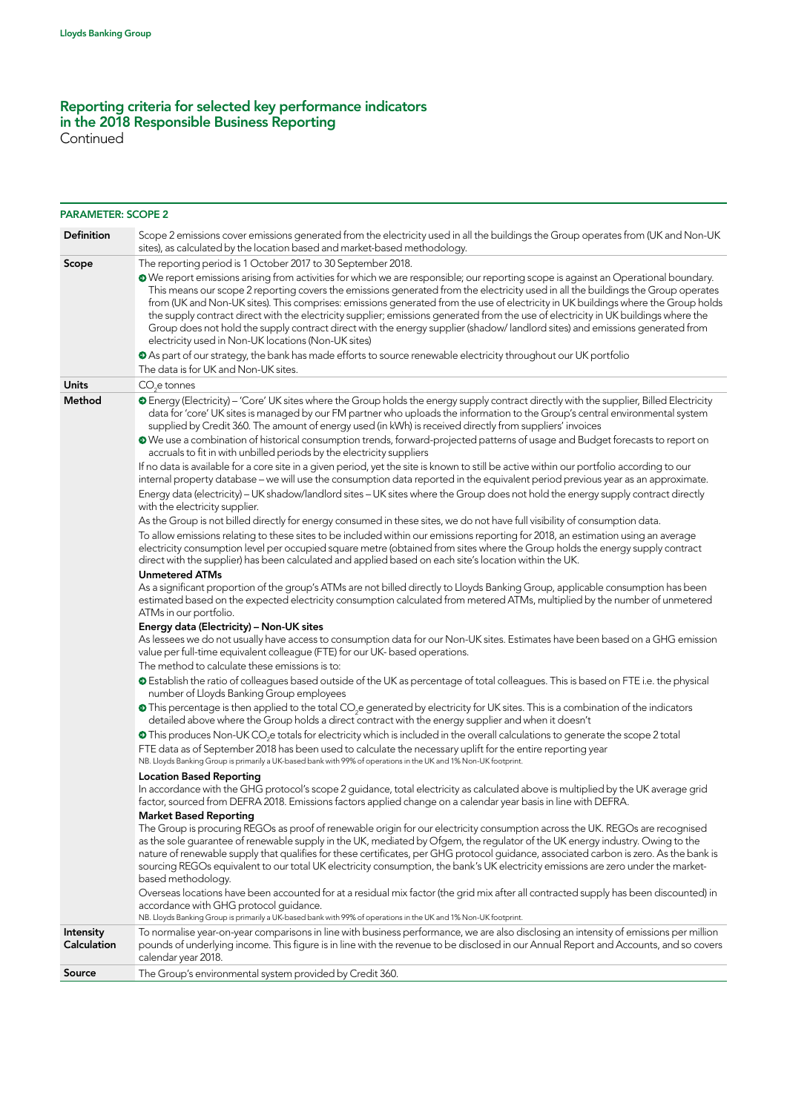Continued

| <b>PARAMETER: SCOPE 2</b> |                                                                                                                                                                                                                                                                                                                                                                                                                                                                                                                                                                                                                                                                                                                                                                                                                                                                                                                                                                                                                                                                                                                                                                                                                                                                                                                                                                                                                                                                                                                                                                                                                                                                                                                                                                                                                                                                                                                                                                                                                                                                                                                                                                                                                                                                                                                                                                                                                                                                                                                                                                                                                                                                                                                                                                                                                                                                                                                                                                                                                                                                                                                                                                                                                                                                                                                                                                                                                                                                                                                                                                                                                                                  |
|---------------------------|--------------------------------------------------------------------------------------------------------------------------------------------------------------------------------------------------------------------------------------------------------------------------------------------------------------------------------------------------------------------------------------------------------------------------------------------------------------------------------------------------------------------------------------------------------------------------------------------------------------------------------------------------------------------------------------------------------------------------------------------------------------------------------------------------------------------------------------------------------------------------------------------------------------------------------------------------------------------------------------------------------------------------------------------------------------------------------------------------------------------------------------------------------------------------------------------------------------------------------------------------------------------------------------------------------------------------------------------------------------------------------------------------------------------------------------------------------------------------------------------------------------------------------------------------------------------------------------------------------------------------------------------------------------------------------------------------------------------------------------------------------------------------------------------------------------------------------------------------------------------------------------------------------------------------------------------------------------------------------------------------------------------------------------------------------------------------------------------------------------------------------------------------------------------------------------------------------------------------------------------------------------------------------------------------------------------------------------------------------------------------------------------------------------------------------------------------------------------------------------------------------------------------------------------------------------------------------------------------------------------------------------------------------------------------------------------------------------------------------------------------------------------------------------------------------------------------------------------------------------------------------------------------------------------------------------------------------------------------------------------------------------------------------------------------------------------------------------------------------------------------------------------------------------------------------------------------------------------------------------------------------------------------------------------------------------------------------------------------------------------------------------------------------------------------------------------------------------------------------------------------------------------------------------------------------------------------------------------------------------------------------------------------|
| <b>Definition</b>         | Scope 2 emissions cover emissions generated from the electricity used in all the buildings the Group operates from (UK and Non-UK<br>sites), as calculated by the location based and market-based methodology.                                                                                                                                                                                                                                                                                                                                                                                                                                                                                                                                                                                                                                                                                                                                                                                                                                                                                                                                                                                                                                                                                                                                                                                                                                                                                                                                                                                                                                                                                                                                                                                                                                                                                                                                                                                                                                                                                                                                                                                                                                                                                                                                                                                                                                                                                                                                                                                                                                                                                                                                                                                                                                                                                                                                                                                                                                                                                                                                                                                                                                                                                                                                                                                                                                                                                                                                                                                                                                   |
| Scope                     | The reporting period is 1 October 2017 to 30 September 2018.<br>• We report emissions arising from activities for which we are responsible; our reporting scope is against an Operational boundary.<br>This means our scope 2 reporting covers the emissions generated from the electricity used in all the buildings the Group operates<br>from (UK and Non-UK sites). This comprises: emissions generated from the use of electricity in UK buildings where the Group holds<br>the supply contract direct with the electricity supplier; emissions generated from the use of electricity in UK buildings where the<br>Group does not hold the supply contract direct with the energy supplier (shadow/landlord sites) and emissions generated from<br>electricity used in Non-UK locations (Non-UK sites)<br>• As part of our strategy, the bank has made efforts to source renewable electricity throughout our UK portfolio<br>The data is for UK and Non-UK sites.                                                                                                                                                                                                                                                                                                                                                                                                                                                                                                                                                                                                                                                                                                                                                                                                                                                                                                                                                                                                                                                                                                                                                                                                                                                                                                                                                                                                                                                                                                                                                                                                                                                                                                                                                                                                                                                                                                                                                                                                                                                                                                                                                                                                                                                                                                                                                                                                                                                                                                                                                                                                                                                                          |
| <b>Units</b>              | CO <sub>2</sub> e tonnes                                                                                                                                                                                                                                                                                                                                                                                                                                                                                                                                                                                                                                                                                                                                                                                                                                                                                                                                                                                                                                                                                                                                                                                                                                                                                                                                                                                                                                                                                                                                                                                                                                                                                                                                                                                                                                                                                                                                                                                                                                                                                                                                                                                                                                                                                                                                                                                                                                                                                                                                                                                                                                                                                                                                                                                                                                                                                                                                                                                                                                                                                                                                                                                                                                                                                                                                                                                                                                                                                                                                                                                                                         |
| Method                    | • Energy (Electricity) - 'Core' UK sites where the Group holds the energy supply contract directly with the supplier, Billed Electricity<br>data for 'core' UK sites is managed by our FM partner who uploads the information to the Group's central environmental system<br>supplied by Credit 360. The amount of energy used (in kWh) is received directly from suppliers' invoices<br>• We use a combination of historical consumption trends, forward-projected patterns of usage and Budget forecasts to report on<br>accruals to fit in with unbilled periods by the electricity suppliers<br>If no data is available for a core site in a given period, yet the site is known to still be active within our portfolio according to our<br>internal property database - we will use the consumption data reported in the equivalent period previous year as an approximate.<br>Energy data (electricity) - UK shadow/landlord sites - UK sites where the Group does not hold the energy supply contract directly<br>with the electricity supplier.<br>As the Group is not billed directly for energy consumed in these sites, we do not have full visibility of consumption data.<br>To allow emissions relating to these sites to be included within our emissions reporting for 2018, an estimation using an average<br>electricity consumption level per occupied square metre (obtained from sites where the Group holds the energy supply contract<br>direct with the supplier) has been calculated and applied based on each site's location within the UK.<br><b>Unmetered ATMs</b><br>As a significant proportion of the group's ATMs are not billed directly to Lloyds Banking Group, applicable consumption has been<br>estimated based on the expected electricity consumption calculated from metered ATMs, multiplied by the number of unmetered<br>ATMs in our portfolio.<br>Energy data (Electricity) - Non-UK sites<br>As lessees we do not usually have access to consumption data for our Non-UK sites. Estimates have been based on a GHG emission<br>value per full-time equivalent colleague (FTE) for our UK- based operations.<br>The method to calculate these emissions is to:<br><b>O</b> Establish the ratio of colleagues based outside of the UK as percentage of total colleagues. This is based on FTE i.e. the physical<br>number of Lloyds Banking Group employees<br>This percentage is then applied to the total CO <sub>2</sub> e generated by electricity for UK sites. This is a combination of the indicators<br>detailed above where the Group holds a direct contract with the energy supplier and when it doesn't<br>• This produces Non-UK CO <sub>2</sub> e totals for electricity which is included in the overall calculations to generate the scope 2 total<br>FTE data as of September 2018 has been used to calculate the necessary uplift for the entire reporting year<br>NB. Lloyds Banking Group is primarily a UK-based bank with 99% of operations in the UK and 1% Non-UK footprint.<br><b>Location Based Reporting</b><br>In accordance with the GHG protocol's scope 2 guidance, total electricity as calculated above is multiplied by the UK average grid<br>factor, sourced from DEFRA 2018. Emissions factors applied change on a calendar year basis in line with DEFRA.<br><b>Market Based Reporting</b><br>The Group is procuring REGOs as proof of renewable origin for our electricity consumption across the UK. REGOs are recognised<br>as the sole guarantee of renewable supply in the UK, mediated by Ofgem, the regulator of the UK energy industry. Owing to the |
|                           | nature of renewable supply that qualifies for these certificates, per GHG protocol guidance, associated carbon is zero. As the bank is<br>sourcing REGOs equivalent to our total UK electricity consumption, the bank's UK electricity emissions are zero under the market-<br>based methodology.<br>Overseas locations have been accounted for at a residual mix factor (the grid mix after all contracted supply has been discounted) in<br>accordance with GHG protocol guidance.<br>NB. Lloyds Banking Group is primarily a UK-based bank with 99% of operations in the UK and 1% Non-UK footprint.                                                                                                                                                                                                                                                                                                                                                                                                                                                                                                                                                                                                                                                                                                                                                                                                                                                                                                                                                                                                                                                                                                                                                                                                                                                                                                                                                                                                                                                                                                                                                                                                                                                                                                                                                                                                                                                                                                                                                                                                                                                                                                                                                                                                                                                                                                                                                                                                                                                                                                                                                                                                                                                                                                                                                                                                                                                                                                                                                                                                                                          |
| Intensity<br>Calculation  | To normalise year-on-year comparisons in line with business performance, we are also disclosing an intensity of emissions per million<br>pounds of underlying income. This figure is in line with the revenue to be disclosed in our Annual Report and Accounts, and so covers<br>calendar year 2018.                                                                                                                                                                                                                                                                                                                                                                                                                                                                                                                                                                                                                                                                                                                                                                                                                                                                                                                                                                                                                                                                                                                                                                                                                                                                                                                                                                                                                                                                                                                                                                                                                                                                                                                                                                                                                                                                                                                                                                                                                                                                                                                                                                                                                                                                                                                                                                                                                                                                                                                                                                                                                                                                                                                                                                                                                                                                                                                                                                                                                                                                                                                                                                                                                                                                                                                                            |
| Source                    | The Group's environmental system provided by Credit 360.                                                                                                                                                                                                                                                                                                                                                                                                                                                                                                                                                                                                                                                                                                                                                                                                                                                                                                                                                                                                                                                                                                                                                                                                                                                                                                                                                                                                                                                                                                                                                                                                                                                                                                                                                                                                                                                                                                                                                                                                                                                                                                                                                                                                                                                                                                                                                                                                                                                                                                                                                                                                                                                                                                                                                                                                                                                                                                                                                                                                                                                                                                                                                                                                                                                                                                                                                                                                                                                                                                                                                                                         |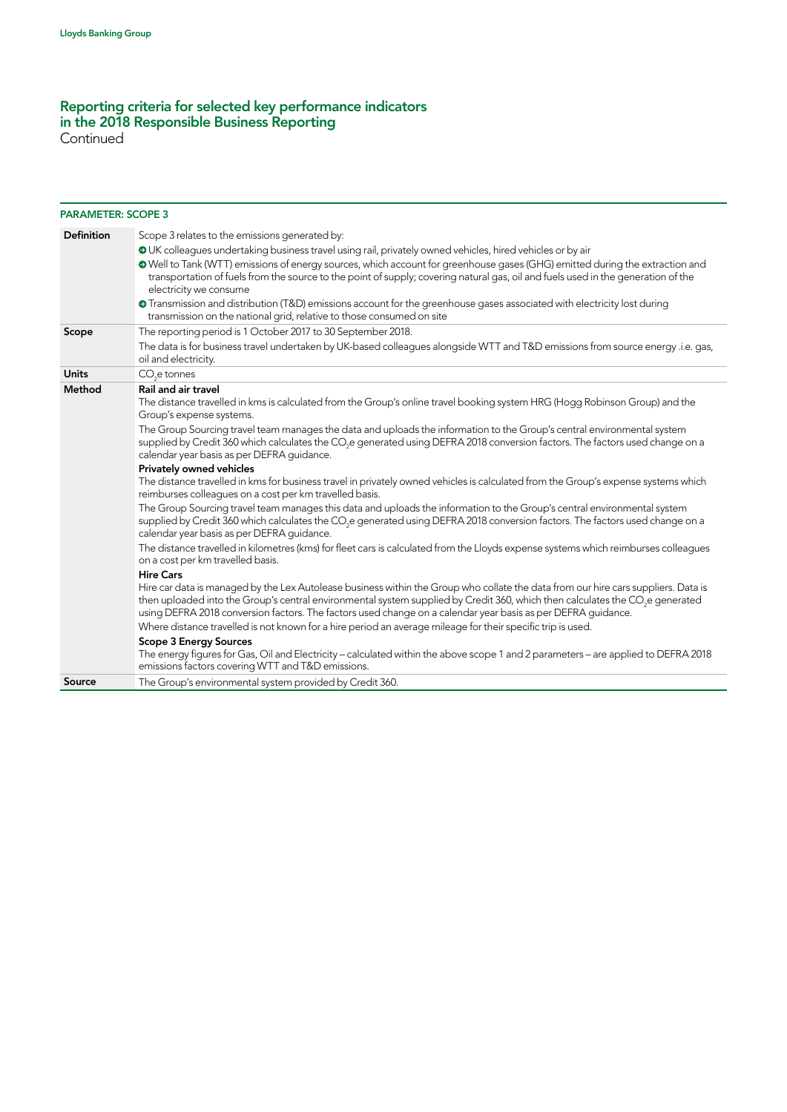Continued

| <b>PARAMETER: SCOPE 3</b> |                                                                                                                                                                                                                                                                                                                                                                                                                                                                                                                                                                                                                                                                                                                                                                                                                                                                                                                                                                                                                                                                                                                                                                                                                                                                 |
|---------------------------|-----------------------------------------------------------------------------------------------------------------------------------------------------------------------------------------------------------------------------------------------------------------------------------------------------------------------------------------------------------------------------------------------------------------------------------------------------------------------------------------------------------------------------------------------------------------------------------------------------------------------------------------------------------------------------------------------------------------------------------------------------------------------------------------------------------------------------------------------------------------------------------------------------------------------------------------------------------------------------------------------------------------------------------------------------------------------------------------------------------------------------------------------------------------------------------------------------------------------------------------------------------------|
| <b>Definition</b>         | Scope 3 relates to the emissions generated by:<br>OUK colleagues undertaking business travel using rail, privately owned vehicles, hired vehicles or by air<br>• Well to Tank (WTT) emissions of energy sources, which account for greenhouse gases (GHG) emitted during the extraction and<br>transportation of fuels from the source to the point of supply; covering natural gas, oil and fuels used in the generation of the<br>electricity we consume<br><b>O</b> Transmission and distribution (T&D) emissions account for the greenhouse gases associated with electricity lost during<br>transmission on the national grid, relative to those consumed on site                                                                                                                                                                                                                                                                                                                                                                                                                                                                                                                                                                                          |
| Scope                     | The reporting period is 1 October 2017 to 30 September 2018.<br>The data is for business travel undertaken by UK-based colleagues alongside WTT and T&D emissions from source energy .i.e. gas,<br>oil and electricity.                                                                                                                                                                                                                                                                                                                                                                                                                                                                                                                                                                                                                                                                                                                                                                                                                                                                                                                                                                                                                                         |
| <b>Units</b>              | CO <sub>2</sub> e tonnes                                                                                                                                                                                                                                                                                                                                                                                                                                                                                                                                                                                                                                                                                                                                                                                                                                                                                                                                                                                                                                                                                                                                                                                                                                        |
| Method                    | Rail and air travel<br>The distance travelled in kms is calculated from the Group's online travel booking system HRG (Hogg Robinson Group) and the<br>Group's expense systems.<br>The Group Sourcing travel team manages the data and uploads the information to the Group's central environmental system<br>supplied by Credit 360 which calculates the CO <sub>2</sub> e generated using DEFRA 2018 conversion factors. The factors used change on a<br>calendar year basis as per DEFRA guidance.<br><b>Privately owned vehicles</b><br>The distance travelled in kms for business travel in privately owned vehicles is calculated from the Group's expense systems which<br>reimburses colleagues on a cost per km travelled basis.<br>The Group Sourcing travel team manages this data and uploads the information to the Group's central environmental system<br>supplied by Credit 360 which calculates the CO <sub>2</sub> e generated using DEFRA 2018 conversion factors. The factors used change on a<br>calendar year basis as per DEFRA guidance.<br>The distance travelled in kilometres (kms) for fleet cars is calculated from the Lloyds expense systems which reimburses colleagues<br>on a cost per km travelled basis.<br><b>Hire Cars</b> |
|                           | Hire car data is managed by the Lex Autolease business within the Group who collate the data from our hire cars suppliers. Data is<br>then uploaded into the Group's central environmental system supplied by Credit 360, which then calculates the CO <sub>2</sub> e generated<br>using DEFRA 2018 conversion factors. The factors used change on a calendar year basis as per DEFRA guidance.<br>Where distance travelled is not known for a hire period an average mileage for their specific trip is used.<br><b>Scope 3 Energy Sources</b><br>The energy figures for Gas, Oil and Electricity - calculated within the above scope 1 and 2 parameters - are applied to DEFRA 2018<br>emissions factors covering WTT and T&D emissions.                                                                                                                                                                                                                                                                                                                                                                                                                                                                                                                      |
| Source                    | The Group's environmental system provided by Credit 360.                                                                                                                                                                                                                                                                                                                                                                                                                                                                                                                                                                                                                                                                                                                                                                                                                                                                                                                                                                                                                                                                                                                                                                                                        |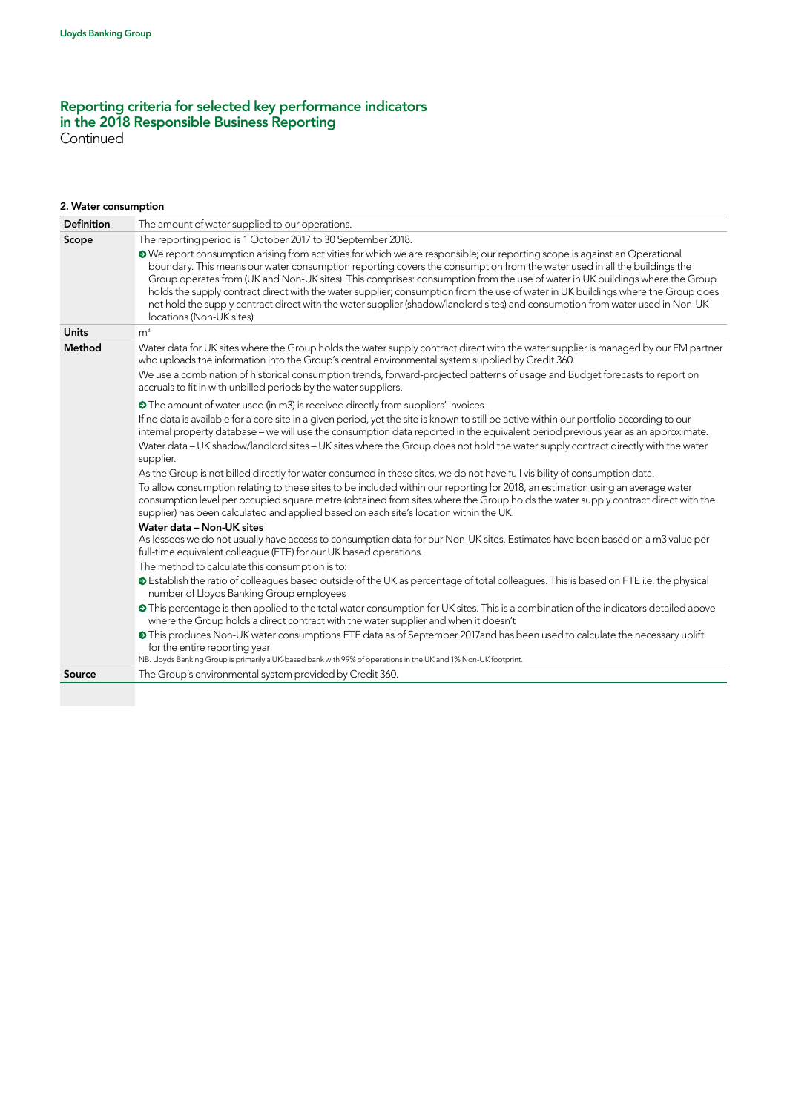Continued

# 2. Water consumption

| <b>Definition</b> | The amount of water supplied to our operations.                                                                                                                                                                                                                                                                                                                                                                                                                                                                                                                                                                                                                                        |
|-------------------|----------------------------------------------------------------------------------------------------------------------------------------------------------------------------------------------------------------------------------------------------------------------------------------------------------------------------------------------------------------------------------------------------------------------------------------------------------------------------------------------------------------------------------------------------------------------------------------------------------------------------------------------------------------------------------------|
| Scope             | The reporting period is 1 October 2017 to 30 September 2018.                                                                                                                                                                                                                                                                                                                                                                                                                                                                                                                                                                                                                           |
|                   | We report consumption arising from activities for which we are responsible; our reporting scope is against an Operational<br>boundary. This means our water consumption reporting covers the consumption from the water used in all the buildings the<br>Group operates from (UK and Non-UK sites). This comprises: consumption from the use of water in UK buildings where the Group<br>holds the supply contract direct with the water supplier; consumption from the use of water in UK buildings where the Group does<br>not hold the supply contract direct with the water supplier (shadow/landlord sites) and consumption from water used in Non-UK<br>locations (Non-UK sites) |
| <b>Units</b>      | m <sup>3</sup>                                                                                                                                                                                                                                                                                                                                                                                                                                                                                                                                                                                                                                                                         |
| Method            | Water data for UK sites where the Group holds the water supply contract direct with the water supplier is managed by our FM partner<br>who uploads the information into the Group's central environmental system supplied by Credit 360.                                                                                                                                                                                                                                                                                                                                                                                                                                               |
|                   | We use a combination of historical consumption trends, forward-projected patterns of usage and Budget forecasts to report on<br>accruals to fit in with unbilled periods by the water suppliers.                                                                                                                                                                                                                                                                                                                                                                                                                                                                                       |
|                   | • The amount of water used (in m3) is received directly from suppliers' invoices                                                                                                                                                                                                                                                                                                                                                                                                                                                                                                                                                                                                       |
|                   | If no data is available for a core site in a given period, yet the site is known to still be active within our portfolio according to our<br>internal property database – we will use the consumption data reported in the equivalent period previous year as an approximate.<br>Water data - UK shadow/landlord sites - UK sites where the Group does not hold the water supply contract directly with the water                                                                                                                                                                                                                                                                      |
|                   | supplier.                                                                                                                                                                                                                                                                                                                                                                                                                                                                                                                                                                                                                                                                              |
|                   | As the Group is not billed directly for water consumed in these sites, we do not have full visibility of consumption data.                                                                                                                                                                                                                                                                                                                                                                                                                                                                                                                                                             |
|                   | To allow consumption relating to these sites to be included within our reporting for 2018, an estimation using an average water<br>consumption level per occupied square metre (obtained from sites where the Group holds the water supply contract direct with the<br>supplier) has been calculated and applied based on each site's location within the UK.                                                                                                                                                                                                                                                                                                                          |
|                   | Water data - Non-UK sites                                                                                                                                                                                                                                                                                                                                                                                                                                                                                                                                                                                                                                                              |
|                   | As lessees we do not usually have access to consumption data for our Non-UK sites. Estimates have been based on a m3 value per<br>full-time equivalent colleague (FTE) for our UK based operations.                                                                                                                                                                                                                                                                                                                                                                                                                                                                                    |
|                   | The method to calculate this consumption is to:                                                                                                                                                                                                                                                                                                                                                                                                                                                                                                                                                                                                                                        |
|                   | <b>O</b> Establish the ratio of colleagues based outside of the UK as percentage of total colleagues. This is based on FTE i.e. the physical<br>number of Lloyds Banking Group employees                                                                                                                                                                                                                                                                                                                                                                                                                                                                                               |
|                   | • This percentage is then applied to the total water consumption for UK sites. This is a combination of the indicators detailed above<br>where the Group holds a direct contract with the water supplier and when it doesn't                                                                                                                                                                                                                                                                                                                                                                                                                                                           |
|                   | · This produces Non-UK water consumptions FTE data as of September 2017and has been used to calculate the necessary uplift<br>for the entire reporting year<br>NB. Lloyds Banking Group is primarily a UK-based bank with 99% of operations in the UK and 1% Non-UK footprint.                                                                                                                                                                                                                                                                                                                                                                                                         |
| Source            | The Group's environmental system provided by Credit 360.                                                                                                                                                                                                                                                                                                                                                                                                                                                                                                                                                                                                                               |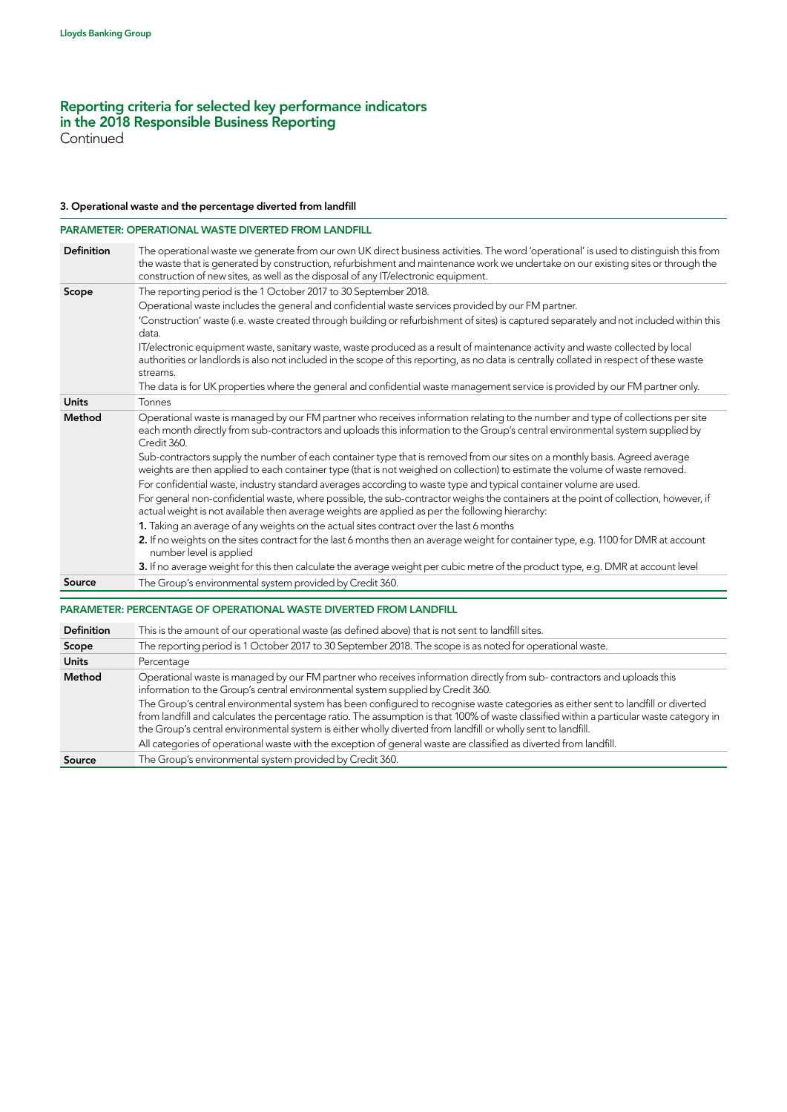**Continued** 

#### 3. Operational waste and the percentage diverted from landfill

### PARAMETER: OPERATIONAL WASTE DIVERTED FROM LANDFILL

| Definition        | The operational waste we generate from our own UK direct business activities. The word 'operational' is used to distinguish this from<br>the waste that is generated by construction, refurbishment and maintenance work we undertake on our existing sites or through the<br>construction of new sites, as well as the disposal of any IT/electronic equipment.                              |
|-------------------|-----------------------------------------------------------------------------------------------------------------------------------------------------------------------------------------------------------------------------------------------------------------------------------------------------------------------------------------------------------------------------------------------|
| Scope             | The reporting period is the 1 October 2017 to 30 September 2018.                                                                                                                                                                                                                                                                                                                              |
|                   | Operational waste includes the general and confidential waste services provided by our FM partner.                                                                                                                                                                                                                                                                                            |
|                   | 'Construction' waste (i.e. waste created through building or refurbishment of sites) is captured separately and not included within this<br>data.                                                                                                                                                                                                                                             |
|                   | IT/electronic equipment waste, sanitary waste, waste produced as a result of maintenance activity and waste collected by local<br>authorities or landlords is also not included in the scope of this reporting, as no data is centrally collated in respect of these waste<br>streams.                                                                                                        |
|                   | The data is for UK properties where the general and confidential waste management service is provided by our FM partner only.                                                                                                                                                                                                                                                                 |
| <b>Units</b>      | Tonnes                                                                                                                                                                                                                                                                                                                                                                                        |
| Method            | Operational waste is managed by our FM partner who receives information relating to the number and type of collections per site<br>each month directly from sub-contractors and uploads this information to the Group's central environmental system supplied by<br>Credit 360.                                                                                                               |
|                   | Sub-contractors supply the number of each container type that is removed from our sites on a monthly basis. Agreed average<br>weights are then applied to each container type (that is not weighed on collection) to estimate the volume of waste removed.                                                                                                                                    |
|                   | For confidential waste, industry standard averages according to waste type and typical container volume are used.                                                                                                                                                                                                                                                                             |
|                   | For general non-confidential waste, where possible, the sub-contractor weighs the containers at the point of collection, however, if<br>actual weight is not available then average weights are applied as per the following hierarchy:                                                                                                                                                       |
|                   | 1. Taking an average of any weights on the actual sites contract over the last 6 months                                                                                                                                                                                                                                                                                                       |
|                   | 2. If no weights on the sites contract for the last 6 months then an average weight for container type, e.g. 1100 for DMR at account<br>number level is applied                                                                                                                                                                                                                               |
|                   | 3. If no average weight for this then calculate the average weight per cubic metre of the product type, e.g. DMR at account level                                                                                                                                                                                                                                                             |
| Source            | The Group's environmental system provided by Credit 360.                                                                                                                                                                                                                                                                                                                                      |
|                   | PARAMETER: PERCENTAGE OF OPERATIONAL WASTE DIVERTED FROM LANDFILL                                                                                                                                                                                                                                                                                                                             |
| <b>Definition</b> | This is the amount of our operational waste (as defined above) that is not sent to landfill sites.                                                                                                                                                                                                                                                                                            |
| Scope             | The reporting period is 1 October 2017 to 30 September 2018. The scope is as noted for operational waste.                                                                                                                                                                                                                                                                                     |
| <b>Units</b>      | Percentage                                                                                                                                                                                                                                                                                                                                                                                    |
| Method            | Operational waste is managed by our FM partner who receives information directly from sub-contractors and uploads this<br>information to the Group's central environmental system supplied by Credit 360.                                                                                                                                                                                     |
|                   | The Group's central environmental system has been configured to recognise waste categories as either sent to landfill or diverted<br>from landfill and calculates the percentage ratio. The assumption is that 100% of waste classified within a particular waste category in<br>the Group's central environmental system is either wholly diverted from landfill or wholly sent to landfill. |
|                   | All categories of operational waste with the exception of general waste are classified as diverted from landfill.                                                                                                                                                                                                                                                                             |
| Source            | The Group's environmental system provided by Credit 360.                                                                                                                                                                                                                                                                                                                                      |